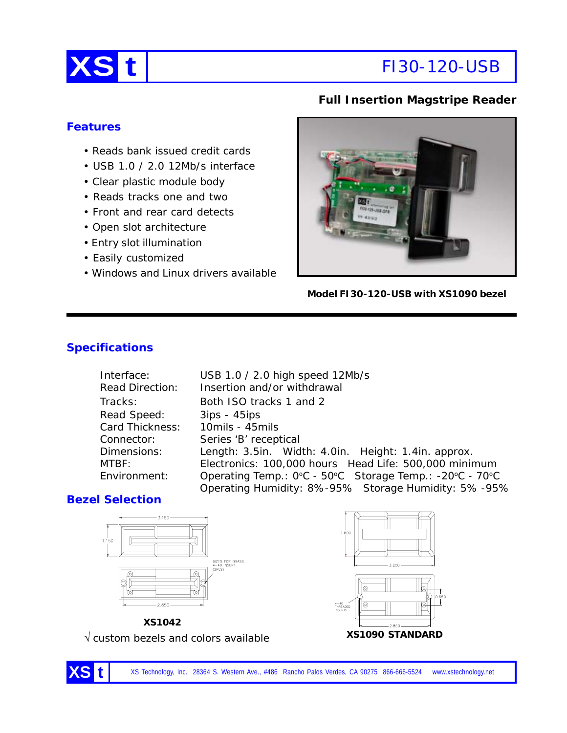

# **XS t** FI30-120-USB

### **Full Insertion Magstripe Reader**

### **Features**

- Reads bank issued credit cards
- USB 1.0 / 2.0 12Mb/s interface
- Clear plastic module body
- Reads tracks one and two
- Front and rear card detects
- Open slot architecture
- Entry slot illumination
- Easily customized
- Windows and Linux drivers available



**Model FI30-120-USB with XS1090 bezel**

# **Specifications**

| Interface:             | USB 1.0 / 2.0 high speed 12Mb/s                         |  |
|------------------------|---------------------------------------------------------|--|
| <b>Read Direction:</b> | Insertion and/or withdrawal                             |  |
| Tracks:                | Both ISO tracks 1 and 2                                 |  |
| Read Speed:            | $3ips - 45ips$                                          |  |
| Card Thickness:        | 10mils - 45mils                                         |  |
| Connector:             | Series 'B' receptical                                   |  |
| Dimensions:            | Length: 3.5in. Width: 4.0in. Height: 1.4in. approx.     |  |
| MTBF:                  | Electronics: 100,000 hours Head Life: 500,000 minimum   |  |
| Environment:           | Operating Temp.: 0°C - 50°C Storage Temp.: -20°C - 70°C |  |
|                        | Operating Humidity: 8%-95% Storage Humidity: 5%-95%     |  |

# **Bezel Selection**





**XS1090 STANDARD** √ custom bezels and colors available